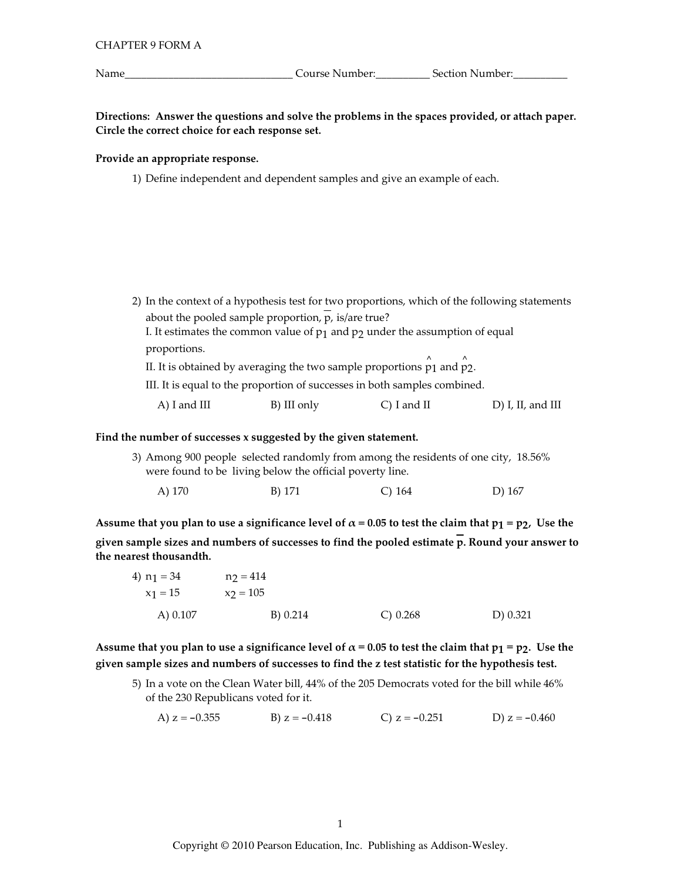Name\_

Directions: Answer the questions and solve the problems in the spaces provided, or attach paper. Circle the correct choice for each response set.

## Provide an appropriate response.

1) Define independent and dependent samples and give an example of each.

2) In the context of a hypothesis test for two proportions, which of the following statements about the pooled sample proportion,  $\overline{p}$ , is/are true? I. It estimates the common value of  $p_1$  and  $p_2$  under the assumption of equal proportions. II. It is obtained by averaging the two sample proportions  $\hat{p}_1$  and  $\hat{p}_2$ . III. It is equal to the proportion of successes in both samples combined.  $A)$  I and III B) III only  $C$ ) I and II  $D$ ) I, II, and III

## Find the number of successes x suggested by the given statement.

3) Among 900 people selected randomly from among the residents of one city, 18.56% were found to be living below the official poverty line.

| A) 170 | B) 171 | $C)$ 164 | D) 167 |
|--------|--------|----------|--------|
|        |        |          |        |

Assume that you plan to use a significance level of  $\alpha$  = 0.05 to test the claim that  $p_1 = p_2$ , Use the given sample sizes and numbers of successes to find the pooled estimate  $\overline{p}$ . Round your answer to the nearest thousandth.

| 4) $n_1 = 34$ | $n_2 = 414$ |             |          |
|---------------|-------------|-------------|----------|
| $x_1 = 15$    | $x_2 = 105$ |             |          |
| A) $0.107$    | B) 0.214    | $C$ ) 0.268 | D) 0.321 |

Assume that you plan to use a significance level of  $\alpha$  = 0.05 to test the claim that  $p_1 = p_2$ . Use the given sample sizes and numbers of successes to find the z test statistic for the hypothesis test.

5) In a vote on the Clean Water bill, 44% of the 205 Democrats voted for the bill while 46% of the 230 Republicans voted for it.

A)  $z = -0.355$ B)  $z = -0.418$ C)  $z = -0.251$ D)  $z = -0.460$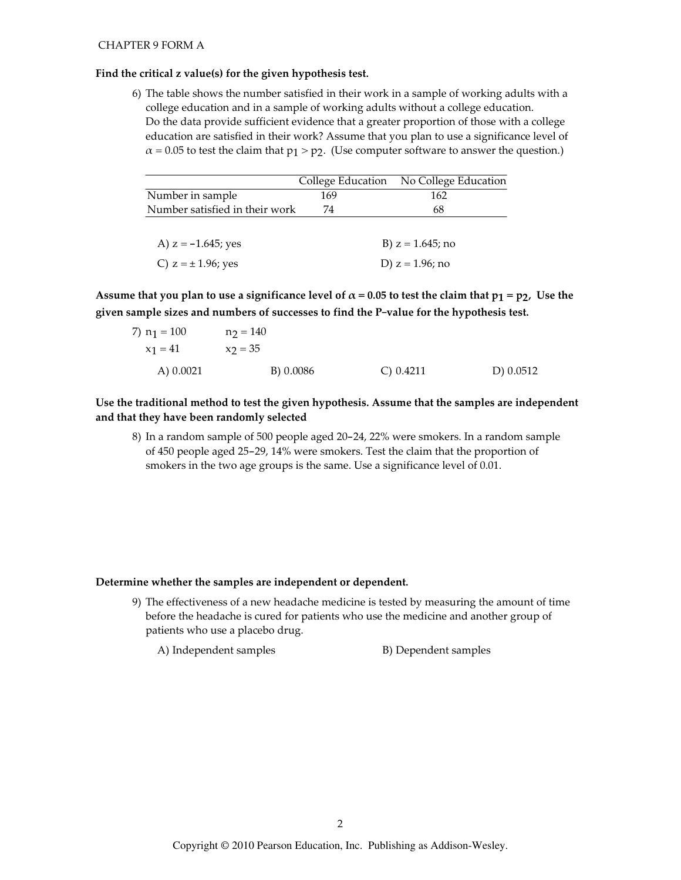## **CHAPTER 9 FORM A**

## Find the critical z value(s) for the given hypothesis test.

6) The table shows the number satisfied in their work in a sample of working adults with a college education and in a sample of working adults without a college education. Do the data provide sufficient evidence that a greater proportion of those with a college education are satisfied in their work? Assume that you plan to use a significance level of  $\alpha$  = 0.05 to test the claim that p<sub>1</sub> > p<sub>2</sub>. (Use computer software to answer the question.)

|                                | College Education | No College Education |
|--------------------------------|-------------------|----------------------|
| Number in sample               | 169               | 162                  |
| Number satisfied in their work | 74                | 68                   |
|                                |                   |                      |
| A) $z = -1.645$ ; yes          |                   | B) $z = 1.645$ ; no  |
| C) $z = \pm 1.96$ ; yes        |                   | D) $z = 1.96$ ; no   |

Assume that you plan to use a significance level of  $\alpha$  = 0.05 to test the claim that  $p_1 = p_2$ , Use the given sample sizes and numbers of successes to find the P-value for the hypothesis test.

| 7) $n_1 = 100$ | $n_2 = 140$ |              |             |
|----------------|-------------|--------------|-------------|
| $x_1 = 41$     | $x_2 = 35$  |              |             |
| A) $0.0021$    | B) 0.0086   | $C$ ) 0.4211 | D) $0.0512$ |

Use the traditional method to test the given hypothesis. Assume that the samples are independent and that they have been randomly selected

8) In a random sample of 500 people aged 20-24, 22% were smokers. In a random sample of 450 people aged 25-29, 14% were smokers. Test the claim that the proportion of smokers in the two age groups is the same. Use a significance level of 0.01.

#### Determine whether the samples are independent or dependent.

9) The effectiveness of a new headache medicine is tested by measuring the amount of time before the headache is cured for patients who use the medicine and another group of patients who use a placebo drug.

A) Independent samples

B) Dependent samples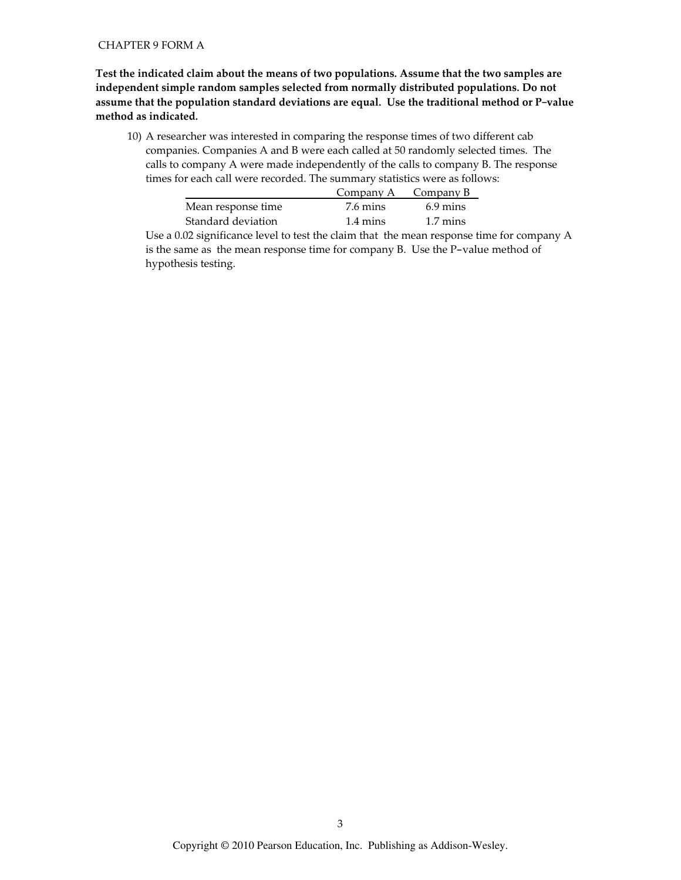## **CHAPTER 9 FORM A**

Test the indicated claim about the means of two populations. Assume that the two samples are independent simple random samples selected from normally distributed populations. Do not assume that the population standard deviations are equal. Use the traditional method or P-value method as indicated.

10) A researcher was interested in comparing the response times of two different cab companies. Companies A and B were each called at 50 randomly selected times. The calls to company A were made independently of the calls to company B. The response times for each call were recorded. The summary statistics were as follows:

|                    | Company A $\sim$ Company B |                    |
|--------------------|----------------------------|--------------------|
| Mean response time | 7.6 mins                   | $6.9 \text{ mins}$ |
| Standard deviation | $1.4 \text{ mins}$         | $1.7 \text{ mins}$ |

Use a 0.02 significance level to test the claim that the mean response time for company A is the same as the mean response time for company B. Use the P-value method of hypothesis testing.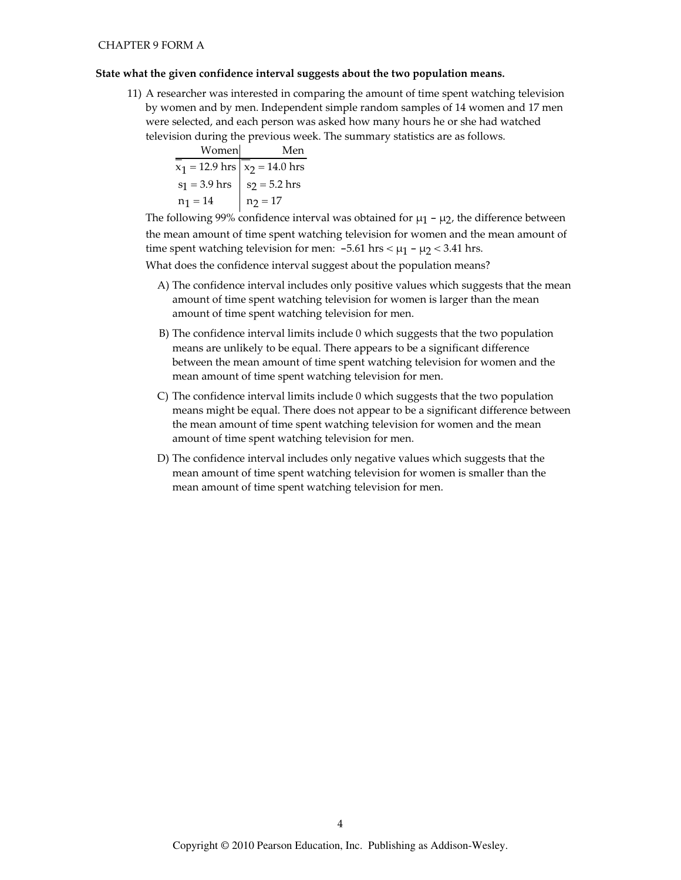#### State what the given confidence interval suggests about the two population means.

11) A researcher was interested in comparing the amount of time spent watching television by women and by men. Independent simple random samples of 14 women and 17 men were selected, and each person was asked how many hours he or she had watched television during the previous week. The summary statistics are as follows.

| Women                    | Men                      |
|--------------------------|--------------------------|
| $x_1 = 12.9 \text{ hrs}$ | $x_2 = 14.0 \text{ hrs}$ |
| $s_1 = 3.9 \text{ hrs}$  | $s_2 = 5.2 \text{ hrs}$  |
| $n_1 = 14$               | $n_2 = 17$               |

The following 99% confidence interval was obtained for  $\mu_1$  –  $\mu_2$ , the difference between the mean amount of time spent watching television for women and the mean amount of time spent watching television for men:  $-5.61$  hrs <  $\mu$ <sub>1</sub> -  $\mu$ <sub>2</sub> < 3.41 hrs.

What does the confidence interval suggest about the population means?

- A) The confidence interval includes only positive values which suggests that the mean amount of time spent watching television for women is larger than the mean amount of time spent watching television for men.
- B) The confidence interval limits include 0 which suggests that the two population means are unlikely to be equal. There appears to be a significant difference between the mean amount of time spent watching television for women and the mean amount of time spent watching television for men.
- C) The confidence interval limits include 0 which suggests that the two population means might be equal. There does not appear to be a significant difference between the mean amount of time spent watching television for women and the mean amount of time spent watching television for men.
- D) The confidence interval includes only negative values which suggests that the mean amount of time spent watching television for women is smaller than the mean amount of time spent watching television for men.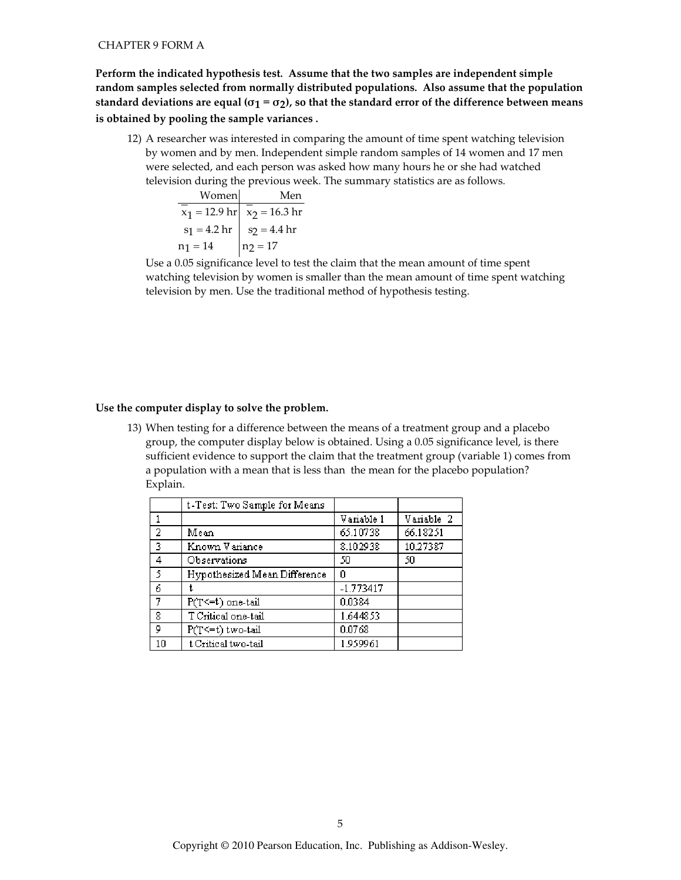Perform the indicated hypothesis test. Assume that the two samples are independent simple random samples selected from normally distributed populations. Also assume that the population standard deviations are equal ( $\sigma_1 = \sigma_2$ ), so that the standard error of the difference between means is obtained by pooling the sample variances.

12) A researcher was interested in comparing the amount of time spent watching television by women and by men. Independent simple random samples of 14 women and 17 men were selected, and each person was asked how many hours he or she had watched television during the previous week. The summary statistics are as follows.

> Women Men  $\overline{x_1}$  = 12.9 hr  $\overline{x_2}$  = 16.3 hr  $s_1 = 4.2$  hr  $s_2 = 4.4$  hr  $n_1 = 14$   $n_2 = 17$

Use a 0.05 significance level to test the claim that the mean amount of time spent watching television by women is smaller than the mean amount of time spent watching television by men. Use the traditional method of hypothesis testing.

## Use the computer display to solve the problem.

13) When testing for a difference between the means of a treatment group and a placebo group, the computer display below is obtained. Using a 0.05 significance level, is there sufficient evidence to support the claim that the treatment group (variable 1) comes from a population with a mean that is less than the mean for the placebo population? Explain.

|                | t-Test: Two Sample for Means |             |            |
|----------------|------------------------------|-------------|------------|
|                |                              | Variable 1  | Variable 2 |
| $\overline{2}$ | Mean                         | 65.10738    | 66.18251   |
| $\overline{3}$ | Known Variance               | 8.102938    | 10.27387   |
| $\overline{4}$ | Observations                 | 50          | 50         |
| $\overline{5}$ | Hypothesized Mean Difference | 0           |            |
| $\overline{6}$ |                              | $-1.773417$ |            |
| -7             | $P(T \le t)$ one-tail        | 0.0384      |            |
| -8             | T Critical one-tail          | 1.644853    |            |
| 9              | P(T<=t) two-tail             | 0.0768      |            |
| 10             | t Critical two-tail          | 1.959961    |            |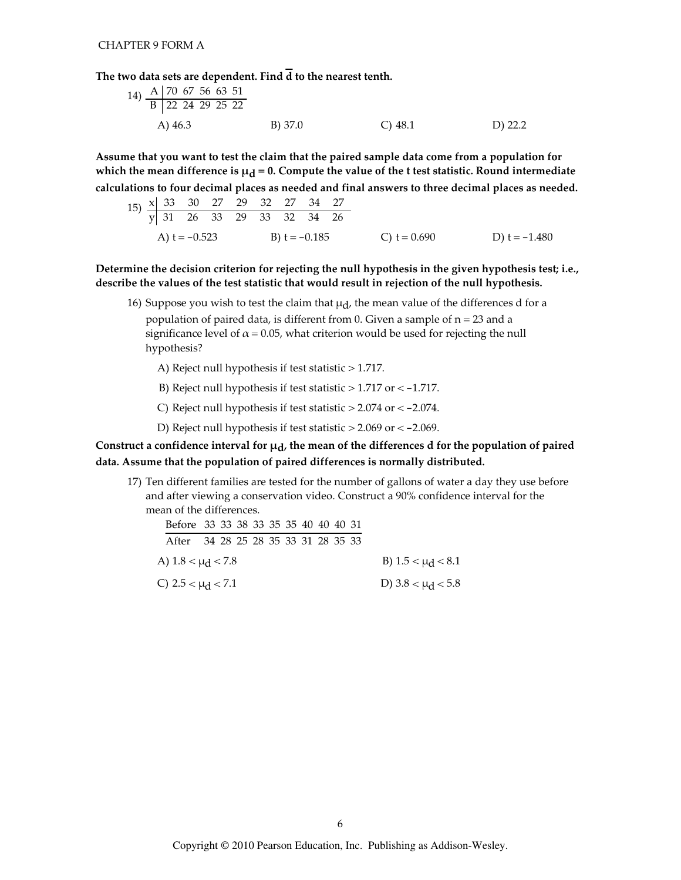The two data sets are dependent. Find  $\overline{d}$  to the nearest tenth.

| 14) $\frac{A}{B}$ $\frac{70}{22}$ $\frac{67}{24}$ $\frac{56}{29}$ $\frac{53}{25}$ |         |         |         |
|-----------------------------------------------------------------------------------|---------|---------|---------|
| A) 46.3                                                                           | B) 37.0 | C) 48.1 | D) 22.2 |

Assume that you want to test the claim that the paired sample data come from a population for which the mean difference is  $\mu_d = 0$ . Compute the value of the t test statistic. Round intermediate calculations to four decimal places as needed and final answers to three decimal places as needed.

$$
\begin{array}{r|rrrrrr}\n\text{(b)} & \frac{\times}{9} & \frac{33}{3} & \frac{30}{2} & \frac{27}{2} & \frac{29}{3} & \frac{32}{3} & \frac{27}{3} & \frac{34}{3} & \frac{27}{26} \\
\text{(c)} & \text{(d)} & \text{(e)} & \text{(f)} & \text{(g)} & \text{(h)} & \text{(i)} \\
\text{(e)} & \text{(f)} & \text{(g)} & \text{(h)} & \text{(i)} & \text{(j)} & \text{(k)} \\
\text{(i)} & \text{(j)} & \text{(k)} & \text{(l)} & \text{(l)} & \text{(l)} & \text{(l)} & \text{(l)} & \text{(l)} \\
\text{(i)} & \text{(j)} & \text{(k)} & \text{(l)} & \text{(l)} & \text{(l)} & \text{(l)} & \text{(l)} & \text{(l)} & \text{(l)} \\
\text{(k)} & \text{(l)} & \text{(l)} & \text{(l)} & \text{(l)} & \text{(l)} & \text{(l)} & \text{(l)} & \text{(l)} & \text{(l)} \\
\text{(l)} & \text{(l)} & \text{(l)} & \text{(l)} & \text{(l)} & \text{(l)} & \text{(l)} & \text{(l)} & \text{(l)} \\
\text{(l)} & \text{(l)} & \text{(l)} & \text{(l)} & \text{(l)} & \text{(l)} & \text{(l)} & \text{(l)} & \text{(l)} & \text{(l)} & \text{(l)} & \text{(l)} & \text{(l)} & \text{(l)} \\
\text{(l)} & \text{(l)} & \text{(l)} & \text{(l)} & \text{(l)} & \text{(l)} & \text{(l)} & \text{(l)} & \text{(l)} & \text{(l)} & \text{(l)} & \text{(l)} & \text{(l)} & \text{(l)} & \text{(l)} & \text{(l)} & \
$$

Determine the decision criterion for rejecting the null hypothesis in the given hypothesis test; i.e., describe the values of the test statistic that would result in rejection of the null hypothesis.

16) Suppose you wish to test the claim that  $\mu_d$ , the mean value of the differences d for a population of paired data, is different from 0. Given a sample of  $n = 23$  and a

significance level of  $\alpha$  = 0.05, what criterion would be used for rejecting the null hypothesis?

A) Reject null hypothesis if test statistic > 1.717.

- B) Reject null hypothesis if test statistic  $> 1.717$  or  $< -1.717$ .
- C) Reject null hypothesis if test statistic  $> 2.074$  or  $< -2.074$ .
- D) Reject null hypothesis if test statistic  $> 2.069$  or  $< -2.069$ .

## Construct a confidence interval for  $\mu_d$ , the mean of the differences d for the population of paired data. Assume that the population of paired differences is normally distributed.

17) Ten different families are tested for the number of gallons of water a day they use before and after viewing a conservation video. Construct a 90% confidence interval for the mean of the differences.

| Before 33 33 38 33 35 35 40 40 40 31 |  |  |  |  |  |                        |
|--------------------------------------|--|--|--|--|--|------------------------|
| After 34 28 25 28 35 33 31 28 35 33  |  |  |  |  |  |                        |
| A) $1.8 < \mu_{\rm d} < 7.8$         |  |  |  |  |  | B) $1.5 < \mu_d < 8.1$ |
| C) $2.5 < \mu_d < 7.1$               |  |  |  |  |  | D) $3.8 < \mu_d < 5.8$ |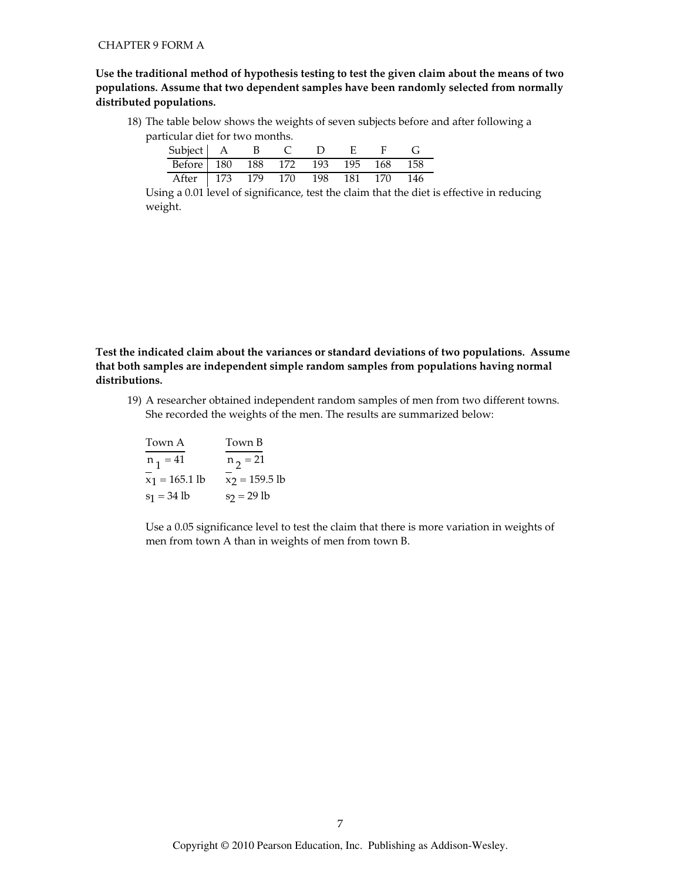Use the traditional method of hypothesis testing to test the given claim about the means of two populations. Assume that two dependent samples have been randomly selected from normally distributed populations.

18) The table below shows the weights of seven subjects before and after following a particular diet for two months.

| Subject   A B                      |  |  |  |  |
|------------------------------------|--|--|--|--|
| Before 180 188 172 193 195 168 158 |  |  |  |  |
| After 173 179 170 198 181 170 146  |  |  |  |  |

Using a 0.01 level of significance, test the claim that the diet is effective in reducing weight.

Test the indicated claim about the variances or standard deviations of two populations. Assume that both samples are independent simple random samples from populations having normal distributions.

19) A researcher obtained independent random samples of men from two different towns. She recorded the weights of the men. The results are summarized below:

| Town A           | Town B           |
|------------------|------------------|
| $n_1 = 41$       | $n_{2} = 21$     |
| $x_1 = 165.1$ lb | $x_2 = 159.5$ lb |
| $s_1 = 34 lb$    | $s_2 = 29$ lb    |

Use a 0.05 significance level to test the claim that there is more variation in weights of men from town A than in weights of men from town B.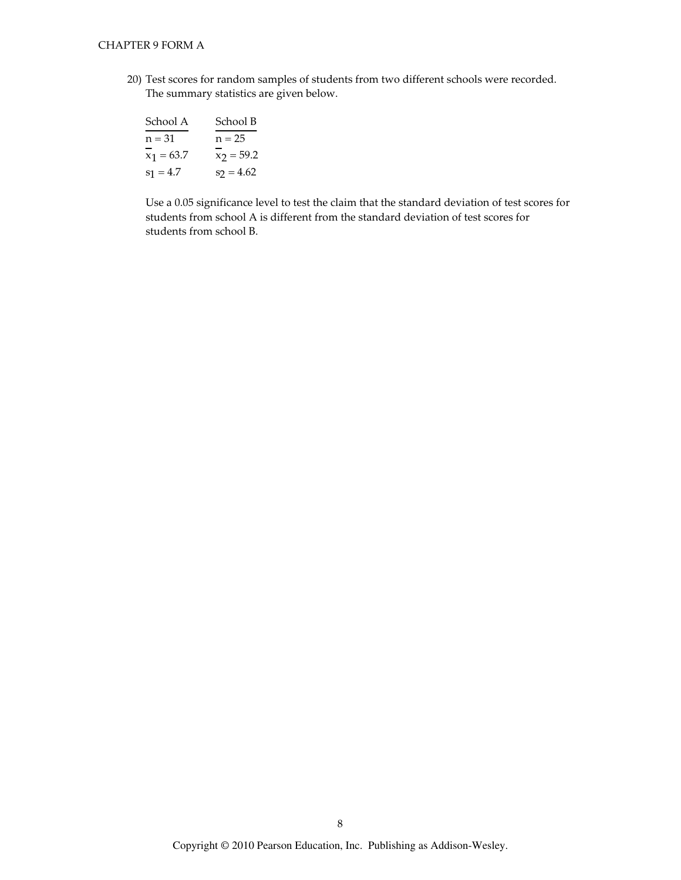20) Test scores for random samples of students from two different schools were recorded. The summary statistics are given below.

| School A     | School B     |
|--------------|--------------|
| $n = 31$     | $n = 25$     |
| $x_1 = 63.7$ | $x_2 = 59.2$ |
| $s_1 = 4.7$  | $s_2 = 4.62$ |

Use a 0.05 significance level to test the claim that the standard deviation of test scores for students from school A is different from the standard deviation of test scores for students from school B.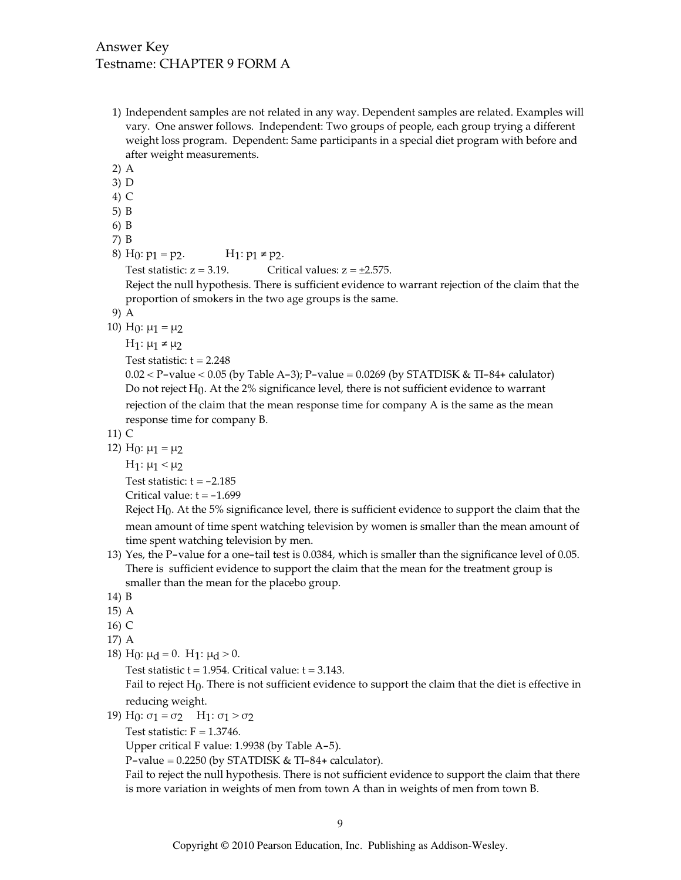- 1) Independent samples are not related in any way. Dependent samples are related. Examples will vary. One answer follows. Independent: Two groups of people, each group trying a different weight loss program. Dependent: Same participants in a special diet program with before and after weight measurements.
- $2)$  A
- $3)$  D
- $4)$  C
- $5) B$
- 6) B
- $7) B$

```
8) H<sub>0</sub>: p_1 = p_2.
                                            H<sub>1</sub>: p_1 ≠ p_2.
```

```
Test statistic: z = 3.19.
                                  Critical values: z = \pm 2.575.
```
Reject the null hypothesis. There is sufficient evidence to warrant rejection of the claim that the proportion of smokers in the two age groups is the same.

- 9) A
- 10) H<sub>0</sub>:  $\mu_1 = \mu_2$ 
	- $H_1: \mu_1 \neq \mu_2$

Test statistic:  $t = 2.248$ 

 $0.02 < P$ -value < 0.05 (by Table A-3); P-value = 0.0269 (by STATDISK & TI-84+ calulator) Do not reject  $H_0$ . At the 2% significance level, there is not sufficient evidence to warrant rejection of the claim that the mean response time for company A is the same as the mean response time for company B.

 $11)$  C

12) H<sub>0</sub>:  $\mu_1 = \mu_2$ 

H<sub>1</sub>: μ<sub>1</sub> < μ<sub>2</sub>

Test statistic:  $t = -2.185$ 

Critical value:  $t = -1.699$ 

Reject  $H_0$ . At the 5% significance level, there is sufficient evidence to support the claim that the mean amount of time spent watching television by women is smaller than the mean amount of time spent watching television by men.

- 13) Yes, the P-value for a one-tail test is 0.0384, which is smaller than the significance level of 0.05. There is sufficient evidence to support the claim that the mean for the treatment group is smaller than the mean for the placebo group.
- 14) B
- 15) A
- 16) C
- 17) A
- 18) H<sub>0</sub>:  $\mu$ <sub>d</sub> = 0. H<sub>1</sub>:  $\mu$ <sub>d</sub> > 0.

Test statistic  $t = 1.954$ . Critical value:  $t = 3.143$ .

Fail to reject  $H_0$ . There is not sufficient evidence to support the claim that the diet is effective in reducing weight.

- 19) H<sub>0</sub>:  $\sigma_1 = \sigma_2$  H<sub>1</sub>:  $\sigma_1 > \sigma_2$ 
	- Test statistic:  $F = 1.3746$ .

Upper critical F value: 1.9938 (by Table A-5).

P-value =  $0.2250$  (by STATDISK & TI-84+ calculator).

Fail to reject the null hypothesis. There is not sufficient evidence to support the claim that there is more variation in weights of men from town A than in weights of men from town B.